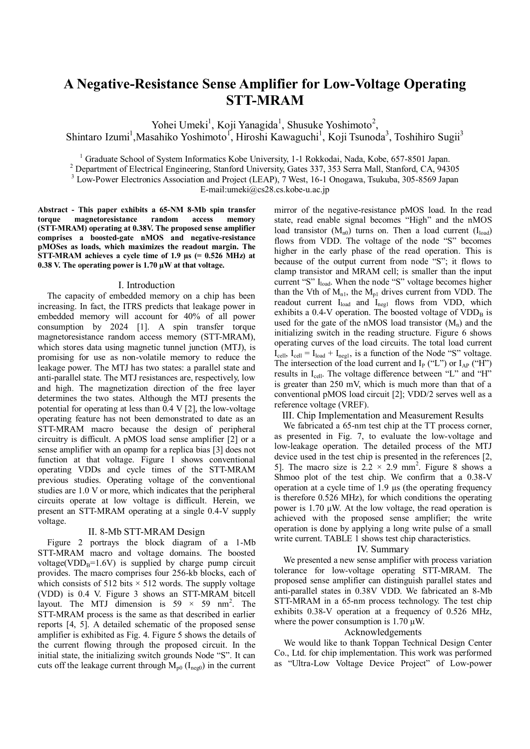# **A Negative-Resistance Sense Amplifier for Low-Voltage Operating STT-MRAM**

Yohei Umeki<sup>1</sup>, Koji Yanagida<sup>1</sup>, Shusuke Yoshimoto<sup>2</sup>,

Shintaro Izumi<sup>1</sup>, Masahiko Yoshimoto<sup>1</sup>, Hiroshi Kawaguchi<sup>1</sup>, Koji Tsunoda<sup>3</sup>, Toshihiro Sugii<sup>3</sup>

<sup>1</sup> Graduate School of System Informatics Kobe University, 1-1 Rokkodai, Nada, Kobe, 657-8501 Japan.

<sup>2</sup> Department of Electrical Engineering, Stanford University, Gates 337, 353 Serra Mall, Stanford, CA, 94305

<sup>3</sup> Low-Power Electronics Association and Project (LEAP), 7 West, 16-1 Onogawa, Tsukuba, 305-8569 Japan

E-mail:umeki@cs28.cs.kobe-u.ac.jp

**Abstract - This paper exhibits a 65-NM 8-Mb spin transfer torque magnetoresistance random access memory (STT-MRAM) operating at 0.38V. The proposed sense amplifier comprises a boosted-gate nMOS and negative-resistance pMOSes as loads, which maximizes the readout margin. The STT-MRAM achieves a cycle time of 1.9 µs (= 0.526 MHz) at 0.38 V. The operating power is 1.70 µW at that voltage.**

#### I. Introduction

The capacity of embedded memory on a chip has been increasing. In fact, the ITRS predicts that leakage power in embedded memory will account for 40% of all power consumption by 2024 [1]. A spin transfer torque magnetoresistance random access memory (STT-MRAM), which stores data using magnetic tunnel junction (MTJ), is promising for use as non-volatile memory to reduce the leakage power. The MTJ has two states: a parallel state and anti-parallel state. The MTJ resistances are, respectively, low and high. The magnetization direction of the free layer determines the two states. Although the MTJ presents the potential for operating at less than 0.4 V [2], the low-voltage operating feature has not been demonstrated to date as an STT-MRAM macro because the design of peripheral circuitry is difficult. A pMOS load sense amplifier [2] or a sense amplifier with an opamp for a replica bias [3] does not function at that voltage. Figure 1 shows conventional operating VDDs and cycle times of the STT-MRAM previous studies. Operating voltage of the conventional studies are 1.0 V or more, which indicates that the peripheral circuits operate at low voltage is difficult. Herein, we present an STT-MRAM operating at a single 0.4-V supply voltage.

## II. 8-Mb STT-MRAM Design

Figure 2 portrays the block diagram of a 1-Mb STT-MRAM macro and voltage domains. The boosted voltage(VDD<sub>B</sub>=1.6V) is supplied by charge pump circuit provides. The macro comprises four 256-kb blocks, each of which consists of 512 bits  $\times$  512 words. The supply voltage (VDD) is 0.4 V. Figure 3 shows an STT-MRAM bitcell layout. The MTJ dimension is  $59 \times 59$  nm<sup>2</sup>. The STT-MRAM process is the same as that described in earlier reports [4, 5]. A detailed schematic of the proposed sense amplifier is exhibited as Fig. 4. Figure 5 shows the details of the current flowing through the proposed circuit. In the initial state, the initializing switch grounds Node "S". It can cuts off the leakage current through  $M_{p0}$  ( $I_{\text{neg}0}$ ) in the current

mirror of the negative-resistance pMOS load. In the read state, read enable signal becomes "High" and the nMOS load transistor  $(M_{n0})$  turns on. Then a load current  $(I_{load})$ flows from VDD. The voltage of the node "S" becomes higher in the early phase of the read operation. This is because of the output current from node "S"; it flows to clamp transistor and MRAM cell; is smaller than the input current "S"  $I_{load}$ . When the node "S" voltage becomes higher than the Vth of  $M_{n1}$ , the  $M_{p1}$  drives current from VDD. The readout current I<sub>load</sub> and I<sub>negl</sub> flows from VDD, which exhibits a  $0.4$ -V operation. The boosted voltage of  $VDD<sub>B</sub>$  is used for the gate of the nMOS load transistor  $(M_n)$  and the initializing switch in the reading structure. Figure 6 shows operating curves of the load circuits. The total load current  $I_{cell}$ ,  $I_{cell} = I_{load} + I_{neg1}$ , is a function of the Node "S" voltage. The intersection of the load current and  $I_P$  ("L") or  $I_{AP}$  ("H") results in  $I_{cell}$ . The voltage difference between "L" and "H" is greater than 250 mV, which is much more than that of a conventional pMOS load circuit [2]; VDD/2 serves well as a reference voltage (VREF).

III. Chip Implementation and Measurement Results

We fabricated a 65-nm test chip at the TT process corner, as presented in Fig. 7, to evaluate the low-voltage and low-leakage operation. The detailed process of the MTJ device used in the test chip is presented in the references [2, 5]. The macro size is  $2.2 \times 2.9$  mm<sup>2</sup>. Figure 8 shows a Shmoo plot of the test chip. We confirm that a 0.38-V operation at a cycle time of 1.9 µs (the operating frequency is therefore 0.526 MHz), for which conditions the operating power is  $1.70 \mu W$ . At the low voltage, the read operation is achieved with the proposed sense amplifier; the write operation is done by applying a long write pulse of a small write current. TABLE 1 shows test chip characteristics.

### IV. Summary

We presented a new sense amplifier with process variation tolerance for low-voltage operating STT-MRAM. The proposed sense amplifier can distinguish parallel states and anti-parallel states in 0.38V VDD. We fabricated an 8-Mb STT-MRAM in a 65-nm process technology. The test chip exhibits 0.38-V operation at a frequency of 0.526 MHz, where the power consumption is 1.70  $\mu$ W.

#### Acknowledgements

We would like to thank Toppan Technical Design Center Co., Ltd. for chip implementation. This work was performed as "Ultra-Low Voltage Device Project" of Low-power